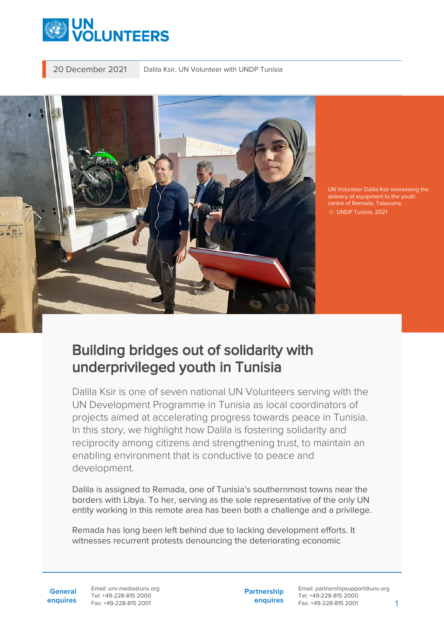

20 December 2021 Dalila Ksir, UN Volunteer with UNDP Tunisia



UN Volunteer Dalila Ksir overseeing the delivery of equipment to the youth centre of Remada, Tataouine. © UNDP Tunisia, 2021

## Building bridges out of solidarity with underprivileged youth in Tunisia

Dalila Ksir is one of seven national UN Volunteers serving with the UN Development Programme in Tunisia as local coordinators of projects aimed at accelerating progress towards peace in Tunisia. In this story, we highlight how Dalila is fostering solidarity and reciprocity among citizens and strengthening trust, to maintain an enabling environment that is conductive to peace and development.

Dalila is assigned to Remada, one of Tunisia's southernmost towns near the borders with Libya. To her, serving as the sole representative of the only UN entity working in this remote area has been both a challenge and a privilege.

Remada has long been left behind due to lacking development efforts. It witnesses recurrent protests denouncing the deteriorating economic

**General enquires** Email: unv.media@unv.org Tel: +49-228-815 2000 Fax: +49-228-815 2001

**Partnership enquires** Email: partnershipsupport@unv.org Tel: +49-228-815 2000 Fax: +49-228-815 2001 1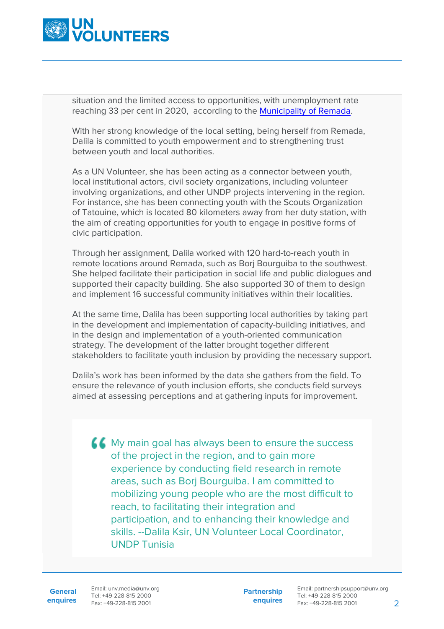

situation and the limited access to opportunities, with unemployment rate reaching 33 per cent in 2020, according to the [Municipality of Remada](http://remada.mylabs.tn/page_11.html).

With her strong knowledge of the local setting, being herself from Remada, Dalila is committed to youth empowerment and to strengthening trust between youth and local authorities.

As a UN Volunteer, she has been acting as a connector between youth, local institutional actors, civil society organizations, including volunteer involving organizations, and other UNDP projects intervening in the region. For instance, she has been connecting youth with the Scouts Organization of Tatouine, which is located 80 kilometers away from her duty station, with the aim of creating opportunities for youth to engage in positive forms of civic participation.

Through her assignment, Dalila worked with 120 hard-to-reach youth in remote locations around Remada, such as Borj Bourguiba to the southwest. She helped facilitate their participation in social life and public dialogues and supported their capacity building. She also supported 30 of them to design and implement 16 successful community initiatives within their localities.

At the same time, Dalila has been supporting local authorities by taking part in the development and implementation of capacity-building initiatives, and in the design and implementation of a youth-oriented communication strategy. The development of the latter brought together different stakeholders to facilitate youth inclusion by providing the necessary support.

Dalila's work has been informed by the data she gathers from the field. To ensure the relevance of youth inclusion efforts, she conducts field surveys aimed at assessing perceptions and at gathering inputs for improvement.

K My main goal has always been to ensure the success of the project in the region, and to gain more experience by conducting field research in remote areas, such as Borj Bourguiba. I am committed to mobilizing young people who are the most difficult to reach, to facilitating their integration and participation, and to enhancing their knowledge and skills. --Dalila Ksir, UN Volunteer Local Coordinator, UNDP Tunisia

**General**

**enquires** Fax: +49-228-815 2001 Email: unv.media@unv.org Tel: +49-228-815 2000

**Partnership enquires** Email: partnershipsupport@unv.org Tel: +49-228-815 2000 Fax: +49-228-815 2001 2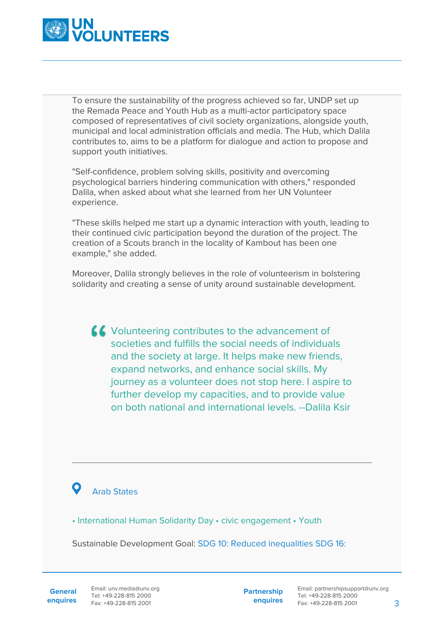

To ensure the sustainability of the progress achieved so far, UNDP set up the Remada Peace and Youth Hub as a multi-actor participatory space composed of representatives of civil society organizations, alongside youth, municipal and local administration officials and media. The Hub, which Dalila contributes to, aims to be a platform for dialogue and action to propose and support youth initiatives.

"Self-confidence, problem solving skills, positivity and overcoming psychological barriers hindering communication with others," responded Dalila, when asked about what she learned from her UN Volunteer experience.

"These skills helped me start up a dynamic interaction with youth, leading to their continued civic participation beyond the duration of the project. The creation of a Scouts branch in the locality of Kambout has been one example," she added.

Moreover, Dalila strongly believes in the role of volunteerism in bolstering solidarity and creating a sense of unity around sustainable development.

Volunteering contributes to the advancement of societies and fulfills the social needs of individuals and the society at large. It helps make new friends, expand networks, and enhance social skills. My journey as a volunteer does not stop here. I aspire to further develop my capacities, and to provide value on both national and international levels. --Dalila Ksir

## Arab States

• International Human Solidarity Day • civic engagement • Youth

Sustainable Development Goal: SDG 10: Reduced inequalities SDG 16:

**General enquires** **Partnership enquires**